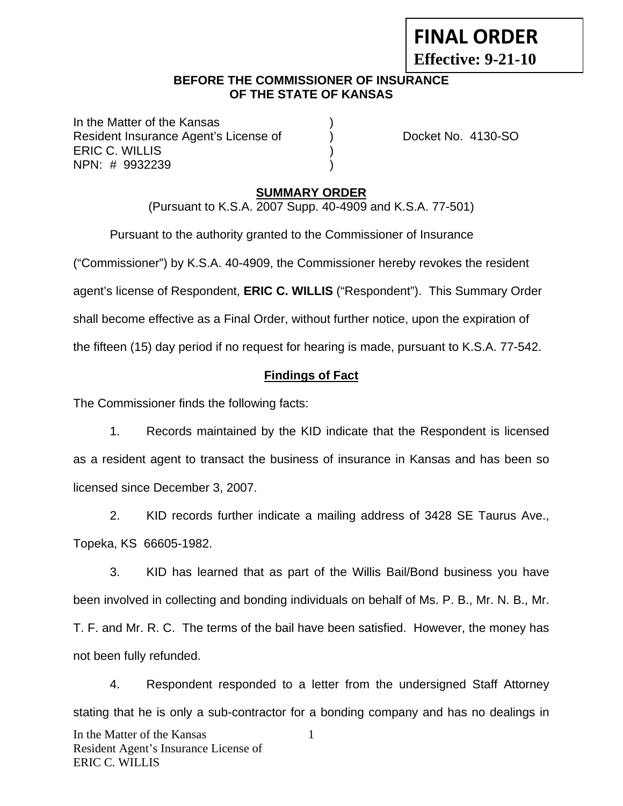# **FINAL ORDER Effective: 9-21-10**

#### **BEFORE THE COMMISSIONER OF INSURANCE OF THE STATE OF KANSAS**

In the Matter of the Kansas Resident Insurance Agent's License of (a) The Docket No. 4130-SO ERIC C. WILLIS ) NPN: # 9932239 )

### **SUMMARY ORDER**

(Pursuant to K.S.A. 2007 Supp. 40-4909 and K.S.A. 77-501)

Pursuant to the authority granted to the Commissioner of Insurance

("Commissioner") by K.S.A. 40-4909, the Commissioner hereby revokes the resident

agent's license of Respondent, **ERIC C. WILLIS** ("Respondent"). This Summary Order

shall become effective as a Final Order, without further notice, upon the expiration of

the fifteen (15) day period if no request for hearing is made, pursuant to K.S.A. 77-542.

# **Findings of Fact**

The Commissioner finds the following facts:

 1. Records maintained by the KID indicate that the Respondent is licensed as a resident agent to transact the business of insurance in Kansas and has been so licensed since December 3, 2007.

 2. KID records further indicate a mailing address of 3428 SE Taurus Ave., Topeka, KS 66605-1982.

 3. KID has learned that as part of the Willis Bail/Bond business you have been involved in collecting and bonding individuals on behalf of Ms. P. B., Mr. N. B., Mr. T. F. and Mr. R. C. The terms of the bail have been satisfied. However, the money has not been fully refunded.

 4. Respondent responded to a letter from the undersigned Staff Attorney stating that he is only a sub-contractor for a bonding company and has no dealings in In the Matter of the Kansas Resident Agent's Insurance License of ERIC C. WILLIS 1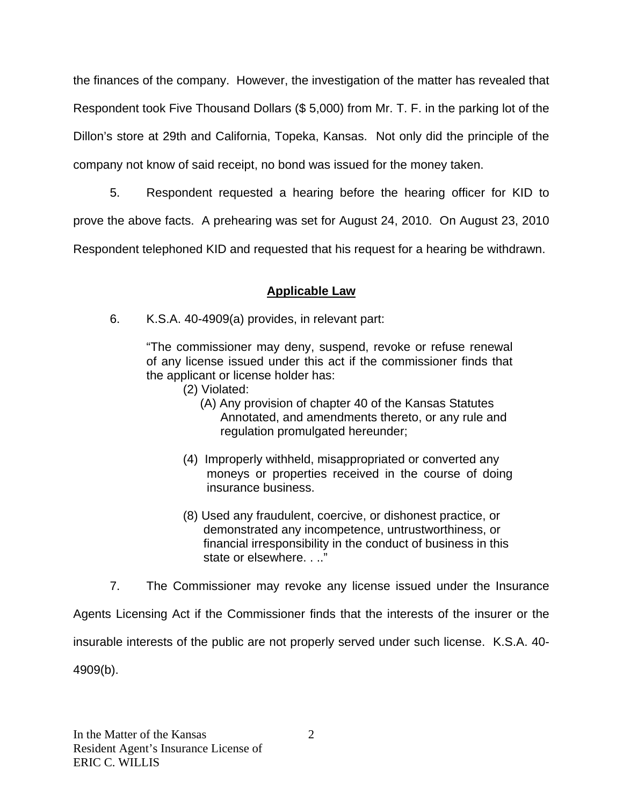the finances of the company. However, the investigation of the matter has revealed that Respondent took Five Thousand Dollars (\$ 5,000) from Mr. T. F. in the parking lot of the Dillon's store at 29th and California, Topeka, Kansas. Not only did the principle of the company not know of said receipt, no bond was issued for the money taken.

 5. Respondent requested a hearing before the hearing officer for KID to prove the above facts. A prehearing was set for August 24, 2010. On August 23, 2010 Respondent telephoned KID and requested that his request for a hearing be withdrawn.

## **Applicable Law**

6. K.S.A. 40-4909(a) provides, in relevant part:

"The commissioner may deny, suspend, revoke or refuse renewal of any license issued under this act if the commissioner finds that the applicant or license holder has:

- (2) Violated:
	- (A) Any provision of chapter 40 of the Kansas Statutes Annotated, and amendments thereto, or any rule and regulation promulgated hereunder;
- (4) Improperly withheld, misappropriated or converted any moneys or properties received in the course of doing insurance business.
- (8) Used any fraudulent, coercive, or dishonest practice, or demonstrated any incompetence, untrustworthiness, or financial irresponsibility in the conduct of business in this state or elsewhere. . .."
- 7. The Commissioner may revoke any license issued under the Insurance

Agents Licensing Act if the Commissioner finds that the interests of the insurer or the insurable interests of the public are not properly served under such license. K.S.A. 40- 4909(b).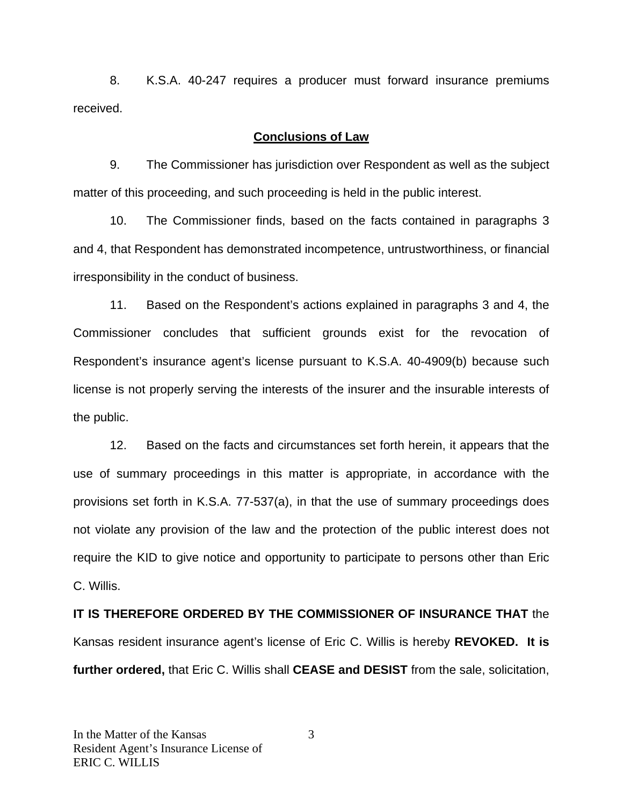8. K.S.A. 40-247 requires a producer must forward insurance premiums received.

#### **Conclusions of Law**

 9. The Commissioner has jurisdiction over Respondent as well as the subject matter of this proceeding, and such proceeding is held in the public interest.

 10. The Commissioner finds, based on the facts contained in paragraphs 3 and 4, that Respondent has demonstrated incompetence, untrustworthiness, or financial irresponsibility in the conduct of business.

 11. Based on the Respondent's actions explained in paragraphs 3 and 4, the Commissioner concludes that sufficient grounds exist for the revocation of Respondent's insurance agent's license pursuant to K.S.A. 40-4909(b) because such license is not properly serving the interests of the insurer and the insurable interests of the public.

 12. Based on the facts and circumstances set forth herein, it appears that the use of summary proceedings in this matter is appropriate, in accordance with the provisions set forth in K.S.A. 77-537(a), in that the use of summary proceedings does not violate any provision of the law and the protection of the public interest does not require the KID to give notice and opportunity to participate to persons other than Eric C. Willis.

**IT IS THEREFORE ORDERED BY THE COMMISSIONER OF INSURANCE THAT** the Kansas resident insurance agent's license of Eric C. Willis is hereby **REVOKED. It is further ordered,** that Eric C. Willis shall **CEASE and DESIST** from the sale, solicitation,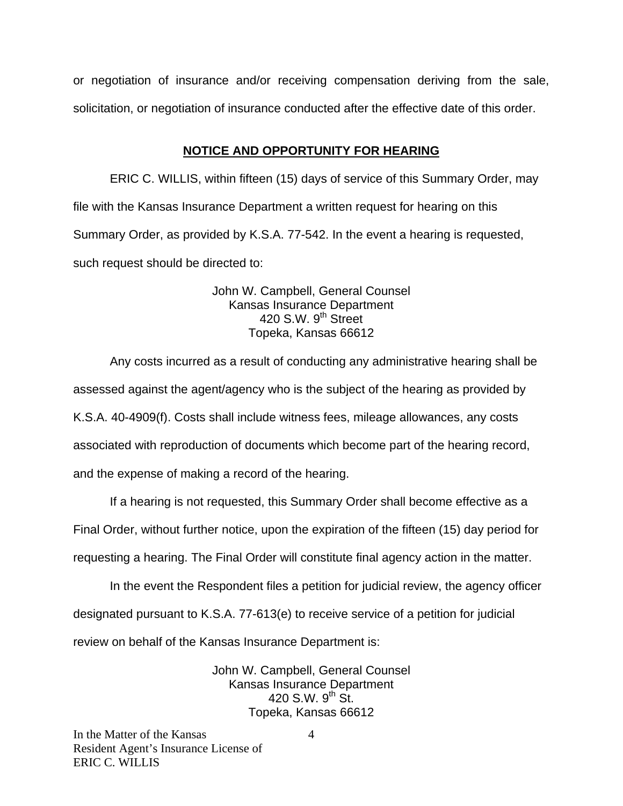or negotiation of insurance and/or receiving compensation deriving from the sale, solicitation, or negotiation of insurance conducted after the effective date of this order.

#### **NOTICE AND OPPORTUNITY FOR HEARING**

ERIC C. WILLIS, within fifteen (15) days of service of this Summary Order, may file with the Kansas Insurance Department a written request for hearing on this Summary Order, as provided by K.S.A. 77-542. In the event a hearing is requested, such request should be directed to:

> John W. Campbell, General Counsel Kansas Insurance Department 420 S.W. 9<sup>th</sup> Street Topeka, Kansas 66612

Any costs incurred as a result of conducting any administrative hearing shall be assessed against the agent/agency who is the subject of the hearing as provided by K.S.A. 40-4909(f). Costs shall include witness fees, mileage allowances, any costs associated with reproduction of documents which become part of the hearing record, and the expense of making a record of the hearing.

If a hearing is not requested, this Summary Order shall become effective as a Final Order, without further notice, upon the expiration of the fifteen (15) day period for requesting a hearing. The Final Order will constitute final agency action in the matter.

In the event the Respondent files a petition for judicial review, the agency officer designated pursuant to K.S.A. 77-613(e) to receive service of a petition for judicial review on behalf of the Kansas Insurance Department is:

> John W. Campbell, General Counsel Kansas Insurance Department 420 S.W.  $9^{th}$  St. Topeka, Kansas 66612